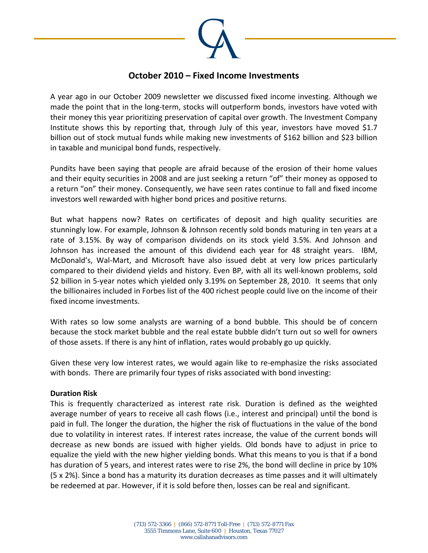

# **October 2010 – Fixed Income Investments**

A year ago in our October 2009 newsletter we discussed fixed income investing. Although we made the point that in the long-term, stocks will outperform bonds, investors have voted with their money this year prioritizing preservation of capital over growth. The Investment Company Institute shows this by reporting that, through July of this year, investors have moved \$1.7 billion out of stock mutual funds while making new investments of \$162 billion and \$23 billion in taxable and municipal bond funds, respectively.

Pundits have been saying that people are afraid because of the erosion of their home values and their equity securities in 2008 and are just seeking a return "of" their money as opposed to a return "on" their money. Consequently, we have seen rates continue to fall and fixed income investors well rewarded with higher bond prices and positive returns.

But what happens now? Rates on certificates of deposit and high quality securities are stunningly low. For example, Johnson & Johnson recently sold bonds maturing in ten years at a rate of 3.15%. By way of comparison dividends on its stock yield 3.5%. And Johnson and Johnson has increased the amount of this dividend each year for 48 straight years. IBM, McDonald's, Wal‐Mart, and Microsoft have also issued debt at very low prices particularly compared to their dividend yields and history. Even BP, with all its well-known problems, sold \$2 billion in 5‐year notes which yielded only 3.19% on September 28, 2010. It seems that only the billionaires included in Forbes list of the 400 richest people could live on the income of their fixed income investments.

With rates so low some analysts are warning of a bond bubble. This should be of concern because the stock market bubble and the real estate bubble didn't turn out so well for owners of those assets. If there is any hint of inflation, rates would probably go up quickly.

Given these very low interest rates, we would again like to re-emphasize the risks associated with bonds. There are primarily four types of risks associated with bond investing:

#### **Duration Risk**

This is frequently characterized as interest rate risk. Duration is defined as the weighted average number of years to receive all cash flows (i.e., interest and principal) until the bond is paid in full. The longer the duration, the higher the risk of fluctuations in the value of the bond due to volatility in interest rates. If interest rates increase, the value of the current bonds will decrease as new bonds are issued with higher yields. Old bonds have to adjust in price to equalize the yield with the new higher yielding bonds. What this means to you is that if a bond has duration of 5 years, and interest rates were to rise 2%, the bond will decline in price by 10% (5 x 2%). Since a bond has a maturity its duration decreases as time passes and it will ultimately be redeemed at par. However, if it is sold before then, losses can be real and significant.